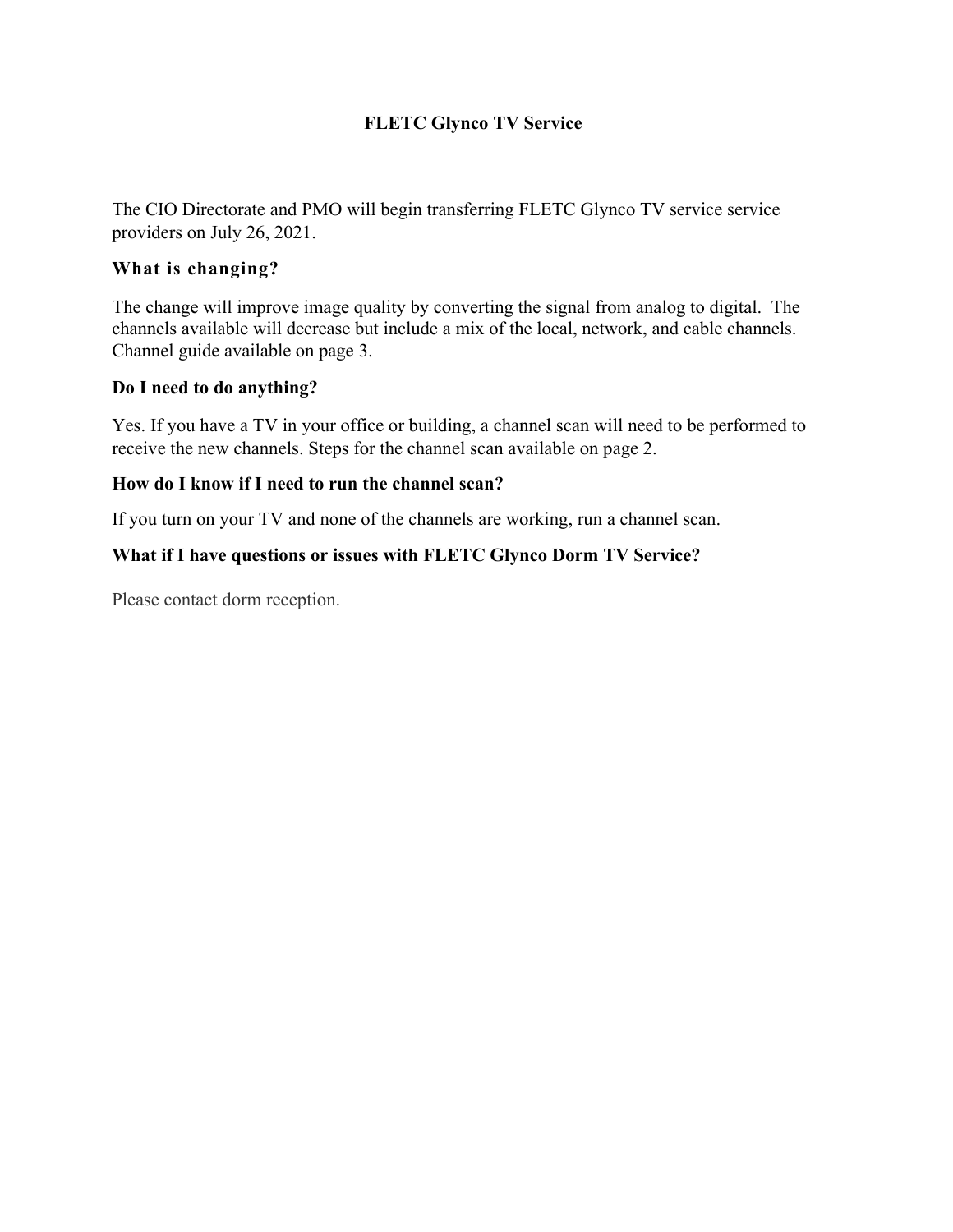# **FLETC Glynco TV Service**

The CIO Directorate and PMO will begin transferring FLETC Glynco TV service service providers on July 26, 2021.

### **What is changing?**

The change will improve image quality by converting the signal from analog to digital. The channels available will decrease but include a mix of the local, network, and cable channels. Channel guide available on page 3.

#### **Do I need to do anything?**

Yes. If you have a TV in your office or building, a channel scan will need to be performed to receive the new channels. Steps for the channel scan available on page 2.

#### **How do I know if I need to run the channel scan?**

If you turn on your TV and none of the channels are working, run a channel scan.

# **What if I have questions or issues with FLETC Glynco Dorm TV Service?**

Please contact dorm reception.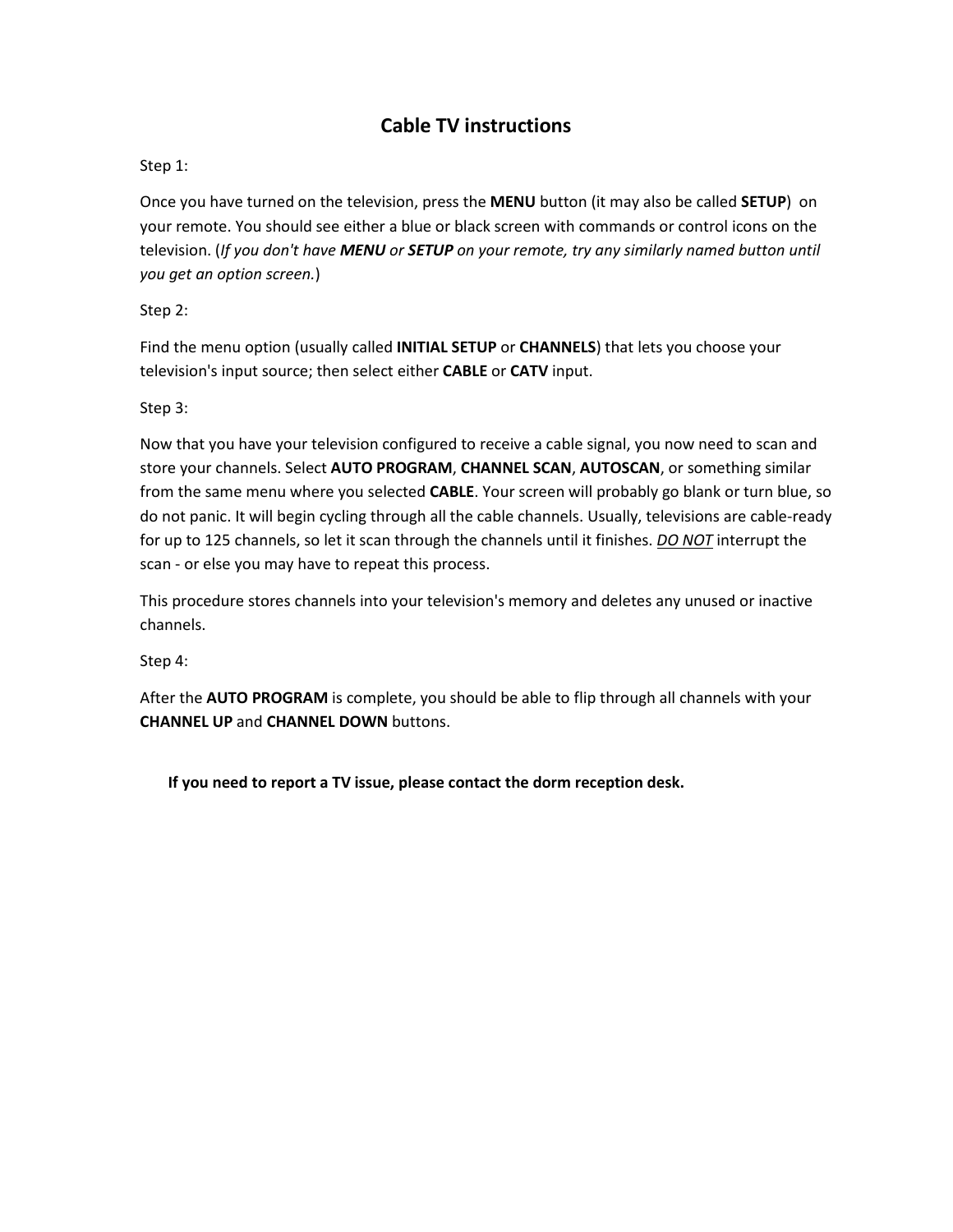# **Cable TV instructions**

#### Step 1:

Once you have turned on the television, press the **MENU** button (it may also be called **SETUP**) on your remote. You should see either a blue or black screen with commands or control icons on the television. (*If you don't have MENU or SETUP on your remote, try any similarly named button until you get an option screen.*)

Step 2:

Find the menu option (usually called **INITIAL SETUP** or **CHANNELS**) that lets you choose your television's input source; then select either **CABLE** or **CATV** input.

Step 3:

Now that you have your television configured to receive a cable signal, you now need to scan and store your channels. Select **AUTO PROGRAM**, **CHANNEL SCAN**, **AUTOSCAN**, or something similar from the same menu where you selected **CABLE**. Your screen will probably go blank or turn blue, so do not panic. It will begin cycling through all the cable channels. Usually, televisions are cable-ready for up to 125 channels, so let it scan through the channels until it finishes. *DO NOT* interrupt the scan - or else you may have to repeat this process.

This procedure stores channels into your television's memory and deletes any unused or inactive channels.

Step 4:

After the **AUTO PROGRAM** is complete, you should be able to flip through all channels with your **CHANNEL UP** and **CHANNEL DOWN** buttons.

**If you need to report a TV issue, please contact the dorm reception desk.**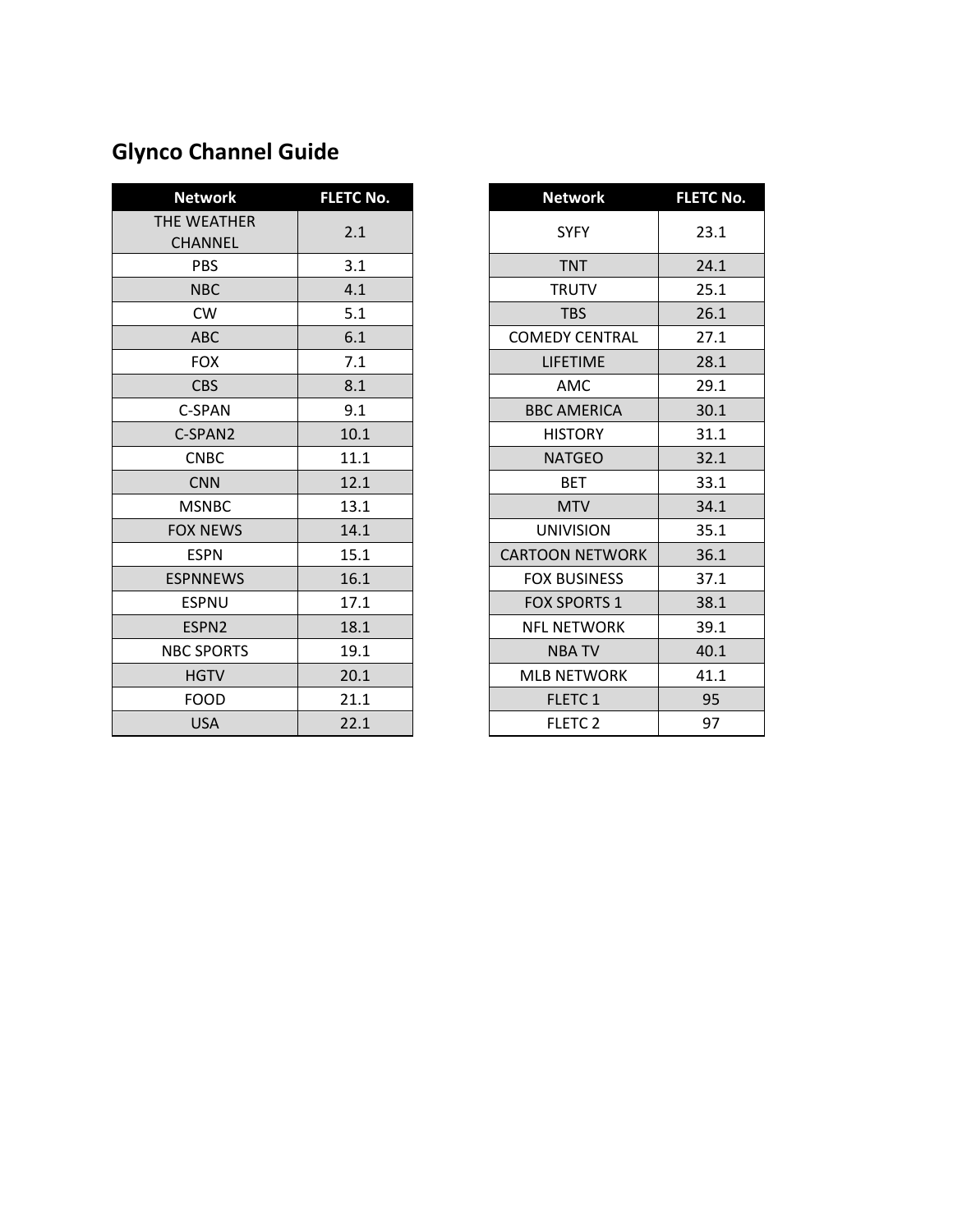# **Glynco Channel Guide**

| <b>Network</b>                | <b>FLETC No.</b> | <b>Network</b>         | <b>FLETC I</b> |
|-------------------------------|------------------|------------------------|----------------|
| THE WEATHER<br><b>CHANNEL</b> | 2.1              | <b>SYFY</b>            | 23.1           |
| <b>PBS</b>                    | 3.1              | <b>TNT</b>             | 24.1           |
| <b>NBC</b>                    | 4.1              | <b>TRUTV</b>           | 25.1           |
| <b>CW</b>                     | 5.1              | <b>TBS</b>             | 26.1           |
| <b>ABC</b>                    | 6.1              | <b>COMEDY CENTRAL</b>  | 27.1           |
| <b>FOX</b>                    | 7.1              | <b>LIFETIME</b>        | 28.1           |
| <b>CBS</b>                    | 8.1              | AMC                    | 29.1           |
| C-SPAN                        | 9.1              | <b>BBC AMERICA</b>     | 30.1           |
| C-SPAN2                       | 10.1             | <b>HISTORY</b>         | 31.1           |
| <b>CNBC</b>                   | 11.1             | <b>NATGEO</b>          | 32.1           |
| <b>CNN</b>                    | 12.1             | <b>BET</b>             | 33.1           |
| <b>MSNBC</b>                  | 13.1             | <b>MTV</b>             | 34.1           |
| <b>FOX NEWS</b>               | 14.1             | <b>UNIVISION</b>       | 35.1           |
| <b>ESPN</b>                   | 15.1             | <b>CARTOON NETWORK</b> | 36.1           |
| <b>ESPNNEWS</b>               | 16.1             | <b>FOX BUSINESS</b>    | 37.1           |
| <b>ESPNU</b>                  | 17.1             | <b>FOX SPORTS 1</b>    | 38.1           |
| ESPN2                         | 18.1             | <b>NFL NETWORK</b>     | 39.1           |
| <b>NBC SPORTS</b>             | 19.1             | <b>NBATV</b>           | 40.1           |
| <b>HGTV</b>                   | 20.1             | <b>MLB NETWORK</b>     | 41.1           |
| <b>FOOD</b>                   | 21.1             | FLETC 1                | 95             |
| <b>USA</b>                    | 22.1             | <b>FLETC 2</b>         | 97             |

| <b>Network</b>       | <b>FLETC No.</b> | <b>Network</b>         | <b>FLETC No.</b> |
|----------------------|------------------|------------------------|------------------|
| E WEATHER<br>CHANNEL | 2.1              | <b>SYFY</b>            | 23.1             |
| <b>PBS</b>           | 3.1              | <b>TNT</b>             | 24.1             |
| <b>NBC</b>           | 4.1              | <b>TRUTV</b>           | 25.1             |
| <b>CW</b>            | 5.1              | <b>TBS</b>             | 26.1             |
| <b>ABC</b>           | 6.1              | <b>COMEDY CENTRAL</b>  | 27.1             |
| <b>FOX</b>           | 7.1              | LIFETIME               | 28.1             |
| <b>CBS</b>           | 8.1              | AMC                    | 29.1             |
| C-SPAN               | 9.1              | <b>BBC AMERICA</b>     | 30.1             |
| C-SPAN2              | 10.1             | <b>HISTORY</b>         | 31.1             |
| <b>CNBC</b>          | 11.1             | <b>NATGEO</b>          | 32.1             |
| <b>CNN</b>           | 12.1             | <b>BET</b>             | 33.1             |
| <b>MSNBC</b>         | 13.1             | <b>MTV</b>             | 34.1             |
| OX NEWS              | 14.1             | <b>UNIVISION</b>       | 35.1             |
| <b>ESPN</b>          | 15.1             | <b>CARTOON NETWORK</b> | 36.1             |
| SPNNEWS              | 16.1             | <b>FOX BUSINESS</b>    | 37.1             |
| ESPNU                | 17.1             | <b>FOX SPORTS 1</b>    | 38.1             |
| ESPN <sub>2</sub>    | 18.1             | <b>NFL NETWORK</b>     | 39.1             |
| <b>BC SPORTS</b>     | 19.1             | <b>NBATV</b>           | 40.1             |
| <b>HGTV</b>          | 20.1             | <b>MLB NETWORK</b>     | 41.1             |
| <b>FOOD</b>          | 21.1             | FLETC 1                | 95               |
| <b>USA</b>           | 22.1             | <b>FLETC 2</b>         | 97               |